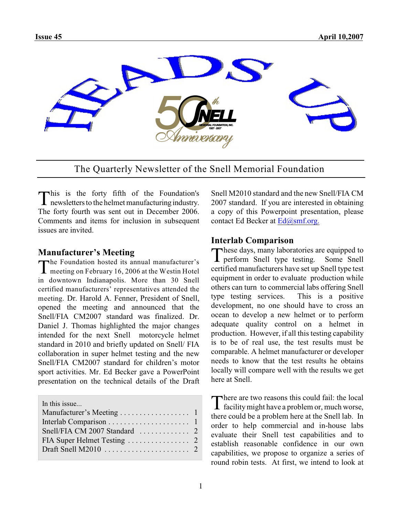

The Quarterly Newsletter of the Snell Memorial Foundation

This is the forty fifth of the Foundation's<br>newsletters to the helmet manufacturing industry. This is the forty fifth of the Foundation's The forty fourth was sent out in December 2006. Comments and items for inclusion in subsequent issues are invited.

#### **Manufacturer's Meeting**

The Foundation hosted its annual manufacturer's<br>meeting on February 16, 2006 at the Westin Hotel **L** meeting on February 16, 2006 at the Westin Hotel in downtown Indianapolis. More than 30 Snell certified manufacturers' representatives attended the meeting. Dr. Harold A. Fenner, President of Snell, opened the meeting and announced that the Snell/FIA CM2007 standard was finalized. Dr. Daniel J. Thomas highlighted the major changes intended for the next Snell motorcycle helmet standard in 2010 and briefly updated on Snell/ FIA collaboration in super helmet testing and the new Snell/FIA CM2007 standard for children's motor sport activities. Mr. Ed Becker gave a PowerPoint presentation on the technical details of the Draft

| In this issue                                              |  |
|------------------------------------------------------------|--|
|                                                            |  |
|                                                            |  |
| Snell/FIA CM 2007 Standard $\ldots \ldots \ldots \ldots$ 2 |  |
|                                                            |  |
|                                                            |  |
|                                                            |  |

Snell M2010 standard and the new Snell/FIA CM 2007 standard. If you are interested in obtaining a copy of this Powerpoint presentation, please contact Ed Becker at [Ed@smf.org.](mailto:Ed@smf.org.)

#### **Interlab Comparison**

These days, many laboratories are equipped to<br>perform Snell type testing. Some Snell These days, many laboratories are equipped to certified manufacturers have set up Snell type test equipment in order to evaluate production while others can turn to commercial labs offering Snell type testing services. This is a positive development, no one should have to cross an ocean to develop a new helmet or to perform adequate quality control on a helmet in production. However, if all this testing capability is to be of real use, the test results must be comparable. A helmet manufacturer or developer needs to know that the test results he obtains locally will compare well with the results we get here at Snell.

There are two reasons this could fail: the local facility might have a problem or, much worse, here are two reasons this could fail: the local there could be a problem here at the Snell lab. In order to help commercial and in-house labs evaluate their Snell test capabilities and to establish reasonable confidence in our own capabilities, we propose to organize a series of round robin tests. At first, we intend to look at